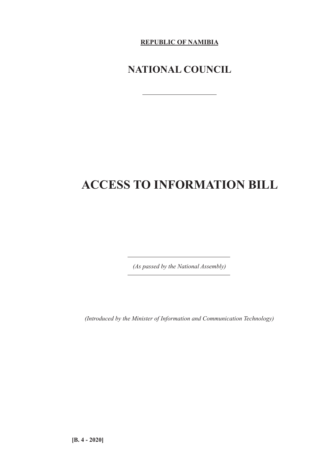**REPUBLIC OF NAMIBIA**

## **NATIONAL COUNCIL**

# **ACCESS TO INFORMATION BILL**

*(As passed by the National Assembly)*

 $\overline{\phantom{a}}$ 

*(Introduced by the Minister of Information and Communication Technology)*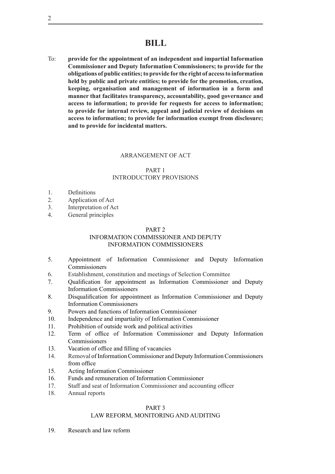To: **provide for the appointment of an independent and impartial Information Commissioner and Deputy Information Commissioners; to provide for the obligations of public entities; to provide for the right of access to information held by public and private entities; to provide for the promotion, creation, keeping, organisation and management of information in a form and manner that facilitates transparency, accountability, good governance and access to information; to provide for requests for access to information; to provide for internal review, appeal and judicial review of decisions on access to information; to provide for information exempt from disclosure; and to provide for incidental matters.**

## ARRANGEMENT OF ACT

## PART 1 INTRODUCTORY PROVISIONS

- 1. Definitions
- 2. Application of Act
- 3. Interpretation of Act
- 4. General principles

## PART 2

## INFORMATION COMMISSIONER AND DEPUTY INFORMATION COMMISSIONERS

- 5. Appointment of Information Commissioner and Deputy Information **Commissioners**
- 6. Establishment, constitution and meetings of Selection Committee
- 7. Qualification for appointment as Information Commissioner and Deputy Information Commissioners
- 8. Disqualification for appointment as Information Commissioner and Deputy Information Commissioners
- 9. Powers and functions of Information Commissioner
- 10. Independence and impartiality of Information Commissioner
- 11. Prohibition of outside work and political activities
- 12. Term of office of Information Commissioner and Deputy Information **Commissioners**
- 13. Vacation of office and filling of vacancies
- 14. Removal ofInformationCommissioner and Deputy InformationCommissioners from office
- 15. Acting Information Commissioner
- 16. Funds and remuneration of Information Commissioner
- 17. Staff and seat of Information Commissioner and accounting officer
- 18. Annual reports

## PART 3

## LAW REFORM, MONITORING AND AUDITING

19. Research and law reform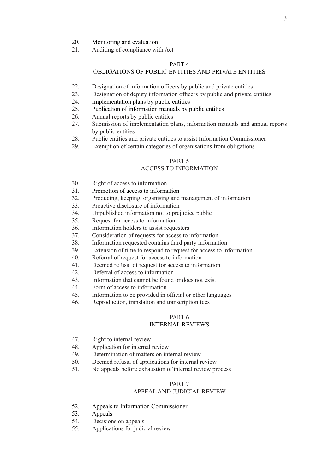- 20. Monitoring and evaluation
- 21. Auditing of compliance with Act

#### PART 4

## OBLIGATIONS OF PUBLIC ENTITIES AND PRIVATE ENTITIES

- 22. Designation of information officers by public and private entities
- 23. Designation of deputy information officers by public and private entities
- 24. Implementation plans by public entities
- 25. Publication of information manuals by public entities
- 26. Annual reports by public entities<br>27 Submission of implementation p
- Submission of implementation plans, information manuals and annual reports by public entities
- 28. Public entities and private entities to assist Information Commissioner
- 29. Exemption of certain categories of organisations from obligations

## PART 5

#### ACCESS TO INFORMATION

- 30. Right of access to information
- 31. Promotion of access to information
- 32. Producing, keeping, organising and management of information
- 33. Proactive disclosure of information
- 34. Unpublished information not to prejudice public
- 35. Request for access to information
- 36. Information holders to assist requesters
- 37. Consideration of requests for access to information
- 38. Information requested contains third party information
- 39. Extension of time to respond to request for access to information
- 40. Referral of request for access to information
- 41. Deemed refusal of request for access to information
- 42. Deferral of access to information
- 43. Information that cannot be found or does not exist
- 44. Form of access to information
- 45. Information to be provided in official or other languages
- 46. Reproduction, translation and transcription fees

## PART 6

## INTERNAL REVIEWS

- 47. Right to internal review
- 48. Application for internal review
- 49. Determination of matters on internal review
- 50. Deemed refusal of applications for internal review
- 51. No appeals before exhaustion of internal review process

## PART 7

## APPEAL AND JUDICIAL REVIEW

- 52. Appeals to Information Commissioner
- 53. Appeals
- 54. Decisions on appeals
- 55. Applications for judicial review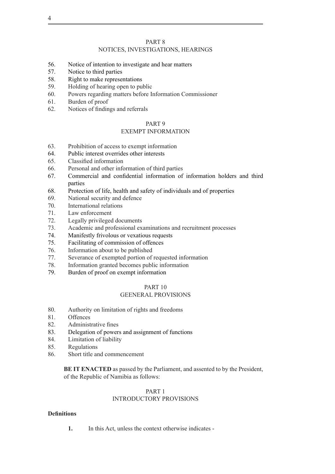#### PART 8

## NOTICES, INVESTIGATIONS, HEARINGS

- 56. Notice of intention to investigate and hear matters
- 57. Notice to third parties
- 58. Right to make representations
- 59. Holding of hearing open to public
- 60. Powers regarding matters before Information Commissioner
- 61. Burden of proof
- 62. Notices of findings and referrals

#### PART 9

#### EXEMPT INFORMATION

- 63. Prohibition of access to exempt information
- 64. Public interest overrides other interests
- 65. Classified information
- 66. Personal and other information of third parties
- 67. Commercial and confidential information of information holders and third parties
- 68. Protection of life, health and safety of individuals and of properties
- 69. National security and defence
- 70. International relations
- 71. Law enforcement
- 72. Legally privileged documents
- 73. Academic and professional examinations and recruitment processes
- 74. Manifestly frivolous or vexatious requests
- 75. Facilitating of commission of offences
- 76. Information about to be published
- 77. Severance of exempted portion of requested information
- 78. Information granted becomes public information
- 79. Burden of proof on exempt information

#### PART 10

## GEENERAL PROVISIONS

- 80. Authority on limitation of rights and freedoms
- 81. Offences
- 82. Administrative fines
- 83. Delegation of powers and assignment of functions
- 84. Limitation of liability
- 85. Regulations
- 86. Short title and commencement

**BE IT ENACTED** as passed by the Parliament, and assented to by the President, of the Republic of Namibia as follows:

## PART 1

## INTRODUCTORY PROVISIONS

#### **Definitions**

**1.** In this Act, unless the context otherwise indicates -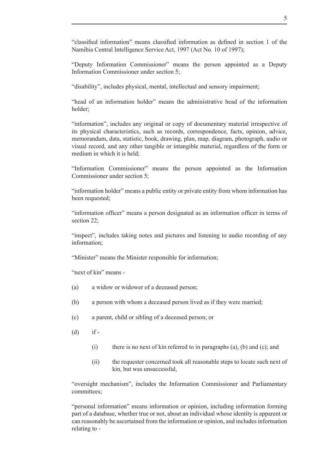"classified information" means classified information as defined in section 1 of the Namibia Central Intelligence Service Act, 1997 (Act No. 10 of 1997);

"Deputy Information Commissioner" means the person appointed as a Deputy Information Commissioner under section 5;

"disability", includes physical, mental, intellectual and sensory impairment;

"head of an information holder" means the administrative head of the information holder;

"information", includes any original or copy of documentary material irrespective of its physical characteristics, such as records, correspondence, facts, opinion, advice, memorandum, data, statistic, book, drawing, plan, map, diagram, photograph, audio or visual record, and any other tangible or intangible material, regardless of the form or medium in which it is held;

"Information Commissioner" means the person appointed as the Information Commissioner under section 5;

"information holder" means a public entity or private entity from whom information has been requested;

"information officer" means a person designated as an information officer in terms of section 22:

"inspect", includes taking notes and pictures and listening to audio recording of any information;

"Minister" means the Minister responsible for information;

"next of kin" means -

- (a) a widow or widower of a deceased person;
- (b) a person with whom a deceased person lived as if they were married;
- (c) a parent, child or sibling of a deceased person; or
- $(d)$  if -
	- (i) there is no next of kin referred to in paragraphs  $(a)$ ,  $(b)$  and  $(c)$ ; and
	- (ii) the requester concerned took all reasonable steps to locate such next of kin, but was unsuccessful,

"oversight mechanism", includes the Information Commissioner and Parliamentary committees;

"personal information" means information or opinion, including information forming part of a database, whether true or not, about an individual whose identity is apparent or can reasonably be ascertained from the information or opinion, and includes information relating to -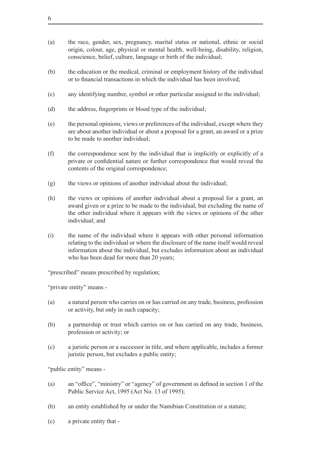- (a) the race, gender, sex, pregnancy, marital status or national, ethnic or social origin, colour, age, physical or mental health, well-being, disability, religion, conscience, belief, culture, language or birth of the individual;
- (b) the education or the medical, criminal or employment history of the individual or to financial transactions in which the individual has been involved;
- (c) any identifying number, symbol or other particular assigned to the individual;
- (d) the address, fingerprints or blood type of the individual;
- (e) the personal opinions, views or preferences of the individual, except where they are about another individual or about a proposal for a grant, an award or a prize to be made to another individual;
- (f) the correspondence sent by the individual that is implicitly or explicitly of a private or confidential nature or further correspondence that would reveal the contents of the original correspondence;
- $(g)$  the views or opinions of another individual about the individual;
- (h) the views or opinions of another individual about a proposal for a grant, an award given or a prize to be made to the individual, but excluding the name of the other individual where it appears with the views or opinions of the other individual; and
- (i) the name of the individual where it appears with other personal information relating to the individual or where the disclosure of the name itself would reveal information about the individual, but excludes information about an individual who has been dead for more than 20 years;

"prescribed" means prescribed by regulation;

"private entity" means -

- (a) a natural person who carries on or has carried on any trade, business, profession or activity, but only in such capacity;
- (b) a partnership or trust which carries on or has carried on any trade, business, profession or activity; or
- (c) a juristic person or a successor in title, and where applicable, includes a former juristic person, but excludes a public entity;

"public entity" means -

- (a) an "office", "ministry" or "agency" of government as defined in section 1 of the Public Service Act, 1995 (Act No. 13 of 1995);
- (b) an entity established by or under the Namibian Constitution or a statute;
- (c) a private entity that -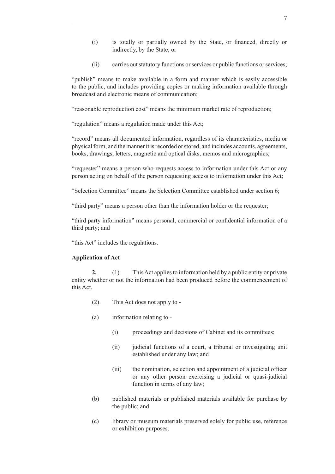- (i) is totally or partially owned by the State, or financed, directly or indirectly, by the State; or
- (ii) carries out statutory functions or services or public functions or services;

"publish" means to make available in a form and manner which is easily accessible to the public, and includes providing copies or making information available through broadcast and electronic means of communication;

"reasonable reproduction cost" means the minimum market rate of reproduction;

"regulation" means a regulation made under this Act;

"record" means all documented information, regardless of its characteristics, media or physicalform, and themannerit isrecorded orstored, and includes accounts, agreements, books, drawings, letters, magnetic and optical disks, memos and micrographics;

"requester" means a person who requests access to information under this Act or any person acting on behalf of the person requesting access to information under this Act;

"Selection Committee" means the Selection Committee established under section 6;

"third party" means a person other than the information holder or the requester;

"third party information" means personal, commercial or confidential information of a third party; and

"this Act" includes the regulations.

#### **Application of Act**

**2.** (1) This Act applies to information held by a public entity or private entity whether or not the information had been produced before the commencement of this Act.

- (2) This Act does not apply to -
- (a) information relating to
	- (i) proceedings and decisions of Cabinet and its committees;
	- (ii) judicial functions of a court, a tribunal or investigating unit established under any law; and
	- (iii) the nomination, selection and appointment of a judicial officer or any other person exercising a judicial or quasi-judicial function in terms of any law;
- (b) published materials or published materials available for purchase by the public; and
- (c) library or museum materials preserved solely for public use, reference or exhibition purposes.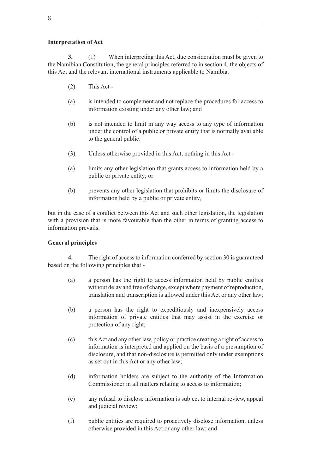## **Interpretation of Act**

**3.** (1) When interpreting this Act, due consideration must be given to the Namibian Constitution, the general principles referred to in section 4, the objects of this Act and the relevant international instruments applicable to Namibia.

- $(2)$  This Act -
- (a) is intended to complement and not replace the procedures for access to information existing under any other law; and
- (b) is not intended to limit in any way access to any type of information under the control of a public or private entity that is normally available to the general public.
- (3) Unless otherwise provided in this Act, nothing in this Act -
- (a) limits any other legislation that grants access to information held by a public or private entity; or
- (b) prevents any other legislation that prohibits or limits the disclosure of information held by a public or private entity,

but in the case of a conflict between this Act and such other legislation, the legislation with a provision that is more favourable than the other in terms of granting access to information prevails.

## **General principles**

**4.** The right of access to information conferred by section 30 is guaranteed based on the following principles that -

- (a) a person has the right to access information held by public entities without delay and free of charge, except where payment of reproduction, translation and transcription is allowed under this Act or any other law;
- (b) a person has the right to expeditiously and inexpensively access information of private entities that may assist in the exercise or protection of any right;
- (c) thisAct and any other law, policy or practice creating a right of accessto information is interpreted and applied on the basis of a presumption of disclosure, and that non-disclosure is permitted only under exemptions as set out in this Act or any other law;
- (d) information holders are subject to the authority of the Information Commissioner in all matters relating to access to information;
- (e) any refusal to disclose information is subject to internal review, appeal and judicial review;
- (f) public entities are required to proactively disclose information, unless otherwise provided in this Act or any other law; and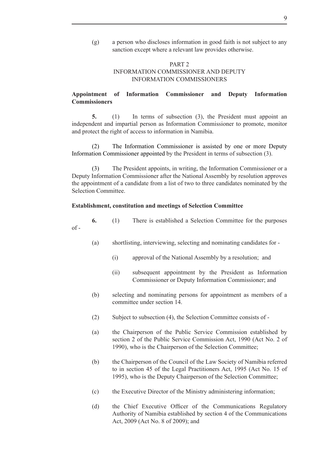(g) a person who discloses information in good faith is not subject to any sanction except where a relevant law provides otherwise.

## PART 2 INFORMATION COMMISSIONER AND DEPUTY INFORMATION COMMISSIONERS

## **Appointment of Information Commissioner and Deputy Information Commissioners**

**5.** (1) In terms of subsection (3), the President must appoint an independent and impartial person as Information Commissioner to promote, monitor and protect the right of access to information in Namibia.

(2) The Information Commissioner is assisted by one or more Deputy Information Commissioner appointed by the President in terms of subsection (3).

(3) The President appoints, in writing, the Information Commissioner or a Deputy Information Commissioner after the National Assembly by resolution approves the appointment of a candidate from a list of two to three candidates nominated by the Selection Committee.

#### **Establishment, constitution and meetings of Selection Committee**

**6.** (1) There is established a Selection Committee for the purposes  $of -$ 

- (a) shortlisting, interviewing, selecting and nominating candidates for
	- (i) approval of the National Assembly by a resolution; and
	- (ii) subsequent appointment by the President as Information Commissioner or Deputy Information Commissioner; and
- (b) selecting and nominating persons for appointment as members of a committee under section 14.
- (2) Subject to subsection  $(4)$ , the Selection Committee consists of -
- (a) the Chairperson of the Public Service Commission established by section 2 of the Public Service Commission Act, 1990 (Act No. 2 of 1990), who is the Chairperson of the Selection Committee;
- (b) the Chairperson of the Council of the Law Society of Namibia referred to in section 45 of the Legal Practitioners Act, 1995 (Act No. 15 of 1995), who is the Deputy Chairperson of the Selection Committee;
- (c) the Executive Director of the Ministry administering information;
- (d) the Chief Executive Officer of the Communications Regulatory Authority of Namibia established by section 4 of the Communications Act, 2009 (Act No. 8 of 2009); and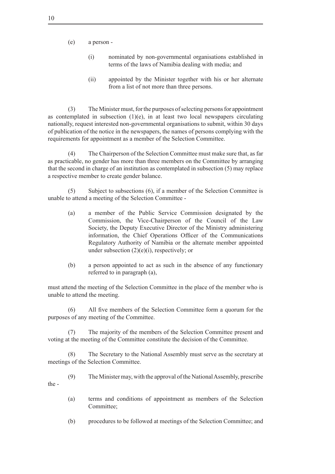(e) a person -

- (i) nominated by non-governmental organisations established in terms of the laws of Namibia dealing with media; and
- (ii) appointed by the Minister together with his or her alternate from a list of not more than three persons.

(3) The Minister must, for the purposes of selecting persons for appointment as contemplated in subsection  $(1)(e)$ , in at least two local newspapers circulating nationally, request interested non-governmental organisations to submit, within 30 days of publication of the notice in the newspapers, the names of persons complying with the requirements for appointment as a member of the Selection Committee.

(4) The Chairperson of the Selection Committee must make sure that, as far as practicable, no gender has more than three members on the Committee by arranging that the second in charge of an institution as contemplated in subsection (5) may replace a respective member to create gender balance.

 $(5)$  Subject to subsections  $(6)$ , if a member of the Selection Committee is unable to attend a meeting of the Selection Committee -

- (a) a member of the Public Service Commission designated by the Commission, the Vice-Chairperson of the Council of the Law Society, the Deputy Executive Director of the Ministry administering information, the Chief Operations Officer of the Communications Regulatory Authority of Namibia or the alternate member appointed under subsection  $(2)(e)(i)$ , respectively; or
- (b) a person appointed to act as such in the absence of any functionary referred to in paragraph (a),

must attend the meeting of the Selection Committee in the place of the member who is unable to attend the meeting.

(6) All five members of the Selection Committee form a quorum for the purposes of any meeting of the Committee.

(7) The majority of the members of the Selection Committee present and voting at the meeting of the Committee constitute the decision of the Committee.

(8) The Secretary to the National Assembly must serve as the secretary at meetings of the Selection Committee.

- (9) The Minister may, with the approval of the National Assembly, prescribe the -
	- (a) terms and conditions of appointment as members of the Selection Committee:
	- (b) procedures to be followed at meetings of the Selection Committee; and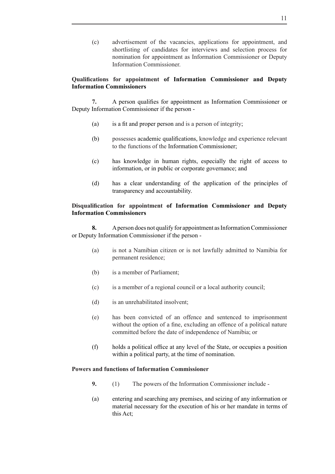(c) advertisement of the vacancies, applications for appointment, and shortlisting of candidates for interviews and selection process for nomination for appointment as Information Commissioner or Deputy Information Commissioner.

## **Qualifications for appointment of Information Commissioner and Deputy Information Commissioners**

**7.** A person qualifies for appointment as Information Commissioner or Deputy Information Commissioner if the person -

- (a) is a fit and proper person and is a person of integrity;
- (b) possesses academic qualifications, knowledge and experience relevant to the functions of the Information Commissioner;
- (c) has knowledge in human rights, especially the right of access to information, or in public or corporate governance; and
- (d) has a clear understanding of the application of the principles of transparency and accountability.

## **Disqualification for appointment of Information Commissioner and Deputy Information Commissioners**

**8.** A person does not qualify for appointment as Information Commissioner or Deputy Information Commissioner if the person -

- (a) is not a Namibian citizen or is not lawfully admitted to Namibia for permanent residence;
- (b) is a member of Parliament;
- (c) is a member of a regional council or a local authority council;
- (d) is an unrehabilitated insolvent;
- (e) has been convicted of an offence and sentenced to imprisonment without the option of a fine, excluding an offence of a political nature committed before the date of independence of Namibia; or
- (f) holds a political office at any level of the State, or occupies a position within a political party, at the time of nomination.

## **Powers and functions of Information Commissioner**

- **9.** (1) The powers of the Information Commissioner include -
- (a) entering and searching any premises, and seizing of any information or material necessary for the execution of his or her mandate in terms of this Act;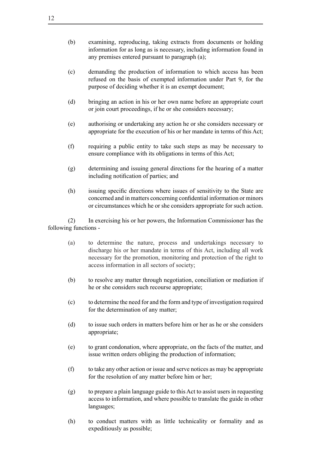- (b) examining, reproducing, taking extracts from documents or holding information for as long as is necessary, including information found in any premises entered pursuant to paragraph (a);
- (c) demanding the production of information to which access has been refused on the basis of exempted information under Part 9, for the purpose of deciding whether it is an exempt document;
- (d) bringing an action in his or her own name before an appropriate court or join court proceedings, if he or she considers necessary;
- (e) authorising or undertaking any action he or she considers necessary or appropriate for the execution of his or her mandate in terms of this Act;
- (f) requiring a public entity to take such steps as may be necessary to ensure compliance with its obligations in terms of this Act;
- (g) determining and issuing general directions for the hearing of a matter including notification of parties; and
- (h) issuing specific directions where issues of sensitivity to the State are concerned and in matters concerning confidential information or minors or circumstances which he or she considers appropriate for such action.

 (2) In exercising his or her powers, the Information Commissioner has the following functions -

- (a) to determine the nature, process and undertakings necessary to discharge his or her mandate in terms of this Act, including all work necessary for the promotion, monitoring and protection of the right to access information in all sectors of society;
- (b) to resolve any matter through negotiation, conciliation or mediation if he or she considers such recourse appropriate;
- (c) to determine the need for and the form and type of investigation required for the determination of any matter;
- (d) to issue such orders in matters before him or her as he or she considers appropriate;
- (e) to grant condonation, where appropriate, on the facts of the matter, and issue written orders obliging the production of information;
- (f) to take any other action or issue and serve notices as may be appropriate for the resolution of any matter before him or her;
- $(g)$  to prepare a plain language guide to this Act to assist users in requesting access to information, and where possible to translate the guide in other languages;
- (h) to conduct matters with as little technicality or formality and as expeditiously as possible;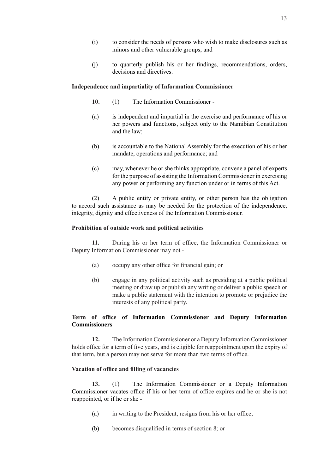- (i) to consider the needs of persons who wish to make disclosures such as minors and other vulnerable groups; and
- (j) to quarterly publish his or her findings, recommendations, orders, decisions and directives.

#### **Independence and impartiality of Information Commissioner**

- 10. (1) The Information Commissioner -
- (a) is independent and impartial in the exercise and performance of his or her powers and functions, subject only to the Namibian Constitution and the law;
- (b) is accountable to the National Assembly for the execution of his or her mandate, operations and performance; and
- (c) may, whenever he or she thinks appropriate, convene a panel of experts for the purpose of assisting the Information Commissioner in exercising any power or performing any function under or in terms of this Act.

 (2) A public entity or private entity, or other person has the obligation to accord such assistance as may be needed for the protection of the independence, integrity, dignity and effectiveness of the Information Commissioner.

## **Prohibition of outside work and political activities**

**11.** During his or her term of office, the Information Commissioner or Deputy Information Commissioner may not -

- (a) occupy any other office for financial gain; or
- (b) engage in any political activity such as presiding at a public political meeting or draw up or publish any writing or deliver a public speech or make a public statement with the intention to promote or prejudice the interests of any political party.

## **Term of office of Information Commissioner and Deputy Information Commissioners**

**12.** The Information Commissioner or a Deputy Information Commissioner holds office for a term of five years, and is eligible for reappointment upon the expiry of that term, but a person may not serve for more than two terms of office.

## **Vacation of office and filling of vacancies**

**13.** (1) The Information Commissioner or a Deputy Information Commissioner vacates office if his or her term of office expires and he or she is not reappointed, or if he or she **-**

- (a) in writing to the President, resigns from his or her office;
- (b) becomes disqualified in terms of section 8; or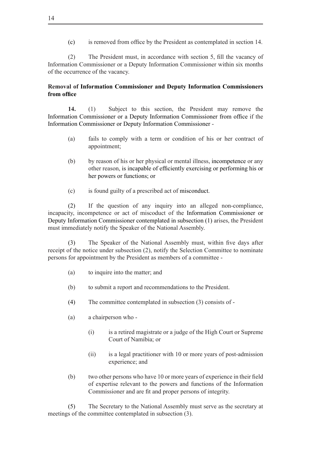(c) is removed from office by the President as contemplated in section 14.

(2) The President must, in accordance with section 5, fill the vacancy of Information Commissioner or a Deputy Information Commissioner within six months of the occurrence of the vacancy.

## **Removal of Information Commissioner and Deputy Information Commissioners from office**

14. (1) Subject to this section, the President may remove the Information Commissioner or a Deputy Information Commissioner from office if the Information Commissioner or Deputy Information Commissioner -

- (a) fails to comply with a term or condition of his or her contract of appointment;
- (b) by reason of his or her physical or mental illness, incompetence or any other reason, is incapable of efficiently exercising or performing his or her powers or functions; or
- (c) is found guilty of a prescribed act of misconduct.

 (2) If the question of any inquiry into an alleged non-compliance, incapacity, incompetence or act of miscoduct of the Information Commissioner or Deputy Information Commissioner contemplated in subsection (1) arises, the President must immediately notify the Speaker of the National Assembly.

(3) The Speaker of the National Assembly must, within five days after receipt of the notice under subsection (2), notify the Selection Committee to nominate persons for appointment by the President as members of a committee -

- (a) to inquire into the matter; and
- (b) to submit a report and recommendations to the President.
- (4) The committee contemplated in subsection  $(3)$  consists of -
- (a) a chairperson who
	- (i) is a retired magistrate or a judge of the High Court or Supreme Court of Namibia; or
	- (ii) is a legal practitioner with 10 or more years of post-admission experience; and
- (b) two other persons who have 10 or more years of experience in their field of expertise relevant to the powers and functions of the Information Commissioner and are fit and proper persons of integrity.

 (5) The Secretary to the National Assembly must serve as the secretary at meetings of the committee contemplated in subsection (3).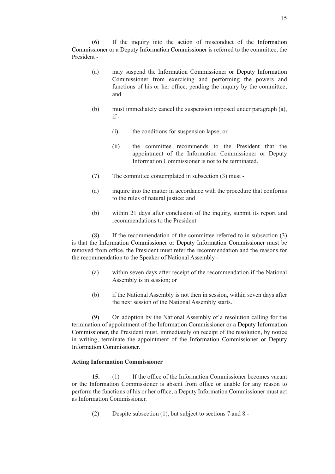(6) If the inquiry into the action of misconduct of the Information Commissioner or a Deputy Information Commissioner is referred to the committee, the President -

- (a) may suspend the Information Commissioner or Deputy Information Commissioner from exercising and performing the powers and functions of his or her office, pending the inquiry by the committee; and
- (b) must immediately cancel the suspension imposed under paragraph (a), if -
	- (i) the conditions for suspension lapse; or
	- (ii) the committee recommends to the President that the appointment of the Information Commissioner or Deputy Information Commissioner is not to be terminated.
- (7) The committee contemplated in subsection (3) must -
- (a) inquire into the matter in accordance with the procedure that conforms to the rules of natural justice; and
- (b) within 21 days after conclusion of the inquiry, submit its report and recommendations to the President.

 $(8)$  If the recommendation of the committee referred to in subsection  $(3)$ is that the Information Commissioner or Deputy Information Commissioner must be removed from office, the President must refer the recommendation and the reasons for the recommendation to the Speaker of National Assembly -

- (a) within seven days after receipt of the recommendation if the National Assembly is in session; or
- (b) if the National Assembly is not then in session, within seven days after the next session of the National Assembly starts.

 (9) On adoption by the National Assembly of a resolution calling for the termination of appointment of the Information Commissioner or a Deputy Information Commissioner, the President must, immediately on receipt of the resolution, by notice in writing, terminate the appointment of the Information Commissioner or Deputy Information Commissioner.

## **Acting Information Commissioner**

**15.** (1) If the office of the Information Commissioner becomes vacant or the Information Commissioner is absent from office or unable for any reason to perform the functions of his or her office, a Deputy Information Commissioner must act as Information Commissioner.

(2) Despite subsection (1), but subject to sections  $7$  and  $8$  -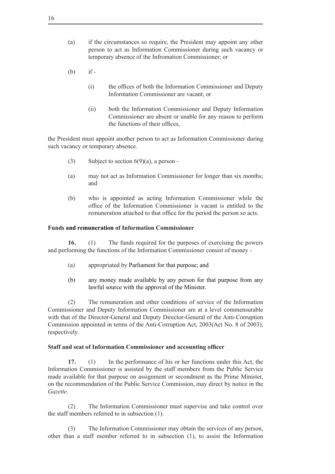- (a) if the circumstances so require, the President may appoint any other person to act as Information Commissioner during such vacancy or temporary absence of the Infromation Commissioner; or
- $(b)$  if -
	- (i) the offices of both the Information Commissioner and Deputy Information Commissioner are vacant; or
	- (ii) both the Information Commissioner and Deputy Information Commissioner are absent or unable for any reason to perform the functions of their offices,

the President must appoint another person to act as Information Commissioner during such vacancy or temporary absence.

- (3) Subject to section  $6(9)(a)$ , a person -
- (a) may not act as Information Commissioner for longer than six months; and
- (b) who is appointed as acting Information Commissioner while the office of the Information Commissioner is vacant is entitled to the remuneration attached to that office for the period the person so acts.

## **Funds and remuneration of Information Commissioner**

16. (1) The funds required for the purposes of exercising the powers and performing the functions of the Information Commissioner consist of money -

- (a) appropriated by Parliament for that purpose; and
- (b) any money made available by any person for that purpose from any lawful source with the approval of the Minister.

 (2) The remuneration and other conditions of service of the Information Commissioner and Deputy Information Commissioner are at a level commensurable with that of the Director-General and Deputy Director-General of the Anti-Corruption Commission appointed in terms of the Anti-Corruption Act, 2003(Act No. 8 of 2003), respectively.

#### **Staff and seat of Information Commissioner and accounting officer**

17. (1) In the performance of his or her functions under this Act, the Information Commissioner is assisted by the staff members from the Public Service made available for that purpose on assignment or secondment as the Prime Minister, on the recommendation of the Public Service Commission, may direct by notice in the *Gazette*.

(2) The Information Commissioner must supervise and take control over the staff members referred to in subsection (1).

(3) The Information Commissioner may obtain the services of any person, other than a staff member referred to in subsection (1), to assist the Information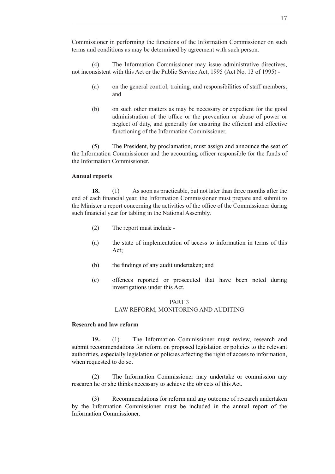Commissioner in performing the functions of the Information Commissioner on such terms and conditions as may be determined by agreement with such person.

 (4) The Information Commissioner may issue administrative directives, not inconsistent with this Act or the Public Service Act, 1995 (Act No. 13 of 1995) -

- (a) on the general control, training, and responsibilities of staff members; and
- (b) on such other matters as may be necessary or expedient for the good administration of the office or the prevention or abuse of power or neglect of duty, and generally for ensuring the efficient and effective functioning of the Information Commissioner.

 (5) The President, by proclamation, must assign and announce the seat of the Information Commissioner and the accounting officer responsible for the funds of the Information Commissioner.

## **Annual reports**

**18.** (1) As soon as practicable, but not later than three months after the end of each financial year, the Information Commissioner must prepare and submit to the Minister a report concerning the activities of the office of the Commissioner during such financial year for tabling in the National Assembly.

- (2) The report must include -
- (a) the state of implementation of access to information in terms of this Act;
- (b) the findings of any audit undertaken; and
- (c) offences reported or prosecuted that have been noted during investigations under this Act.

## PART 3 LAW REFORM, MONITORING AND AUDITING

## **Research and law reform**

**19.** (1) The Information Commissioner must review, research and submit recommendations for reform on proposed legislation or policies to the relevant authorities, especially legislation or policies affecting the right of access to information, when requested to do so.

 (2) The Information Commissioner may undertake or commission any research he or she thinks necessary to achieve the objects of this Act.

(3) Recommendations for reform and any outcome of research undertaken by the Information Commissioner must be included in the annual report of the Information Commissioner.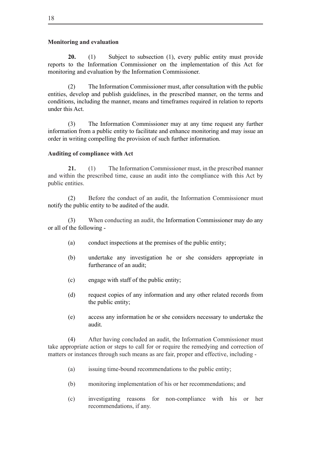## **Monitoring and evaluation**

**20.** (1) Subject to subsection (1), every public entity must provide reports to the Information Commissioner on the implementation of this Act for monitoring and evaluation by the Information Commissioner.

(2) The Information Commissioner must, after consultation with the public entities, develop and publish guidelines, in the prescribed manner, on the terms and conditions, including the manner, means and timeframes required in relation to reports under this Act.

(3) The Information Commissioner may at any time request any further information from a public entity to facilitate and enhance monitoring and may issue an order in writing compelling the provision of such further information.

## **Auditing of compliance with Act**

**21.** (1) The Information Commissioner must, in the prescribed manner and within the prescribed time, cause an audit into the compliance with this Act by public entities.

(2) Before the conduct of an audit, the Information Commissioner must notify the public entity to be audited of the audit.

(3) When conducting an audit, the Information Commissioner may do any or all of the following -

- (a) conduct inspections at the premises of the public entity;
- (b) undertake any investigation he or she considers appropriate in furtherance of an audit;
- (c) engage with staff of the public entity;
- (d) request copies of any information and any other related records from the public entity;
- (e) access any information he or she considers necessary to undertake the audit.

 (4) After having concluded an audit, the Information Commissioner must take appropriate action or steps to call for or require the remedying and correction of matters or instances through such means as are fair, proper and effective, including -

- (a) issuing time-bound recommendations to the public entity;
- (b) monitoring implementation of his or her recommendations; and
- (c) investigating reasons for non-compliance with his or her recommendations, if any.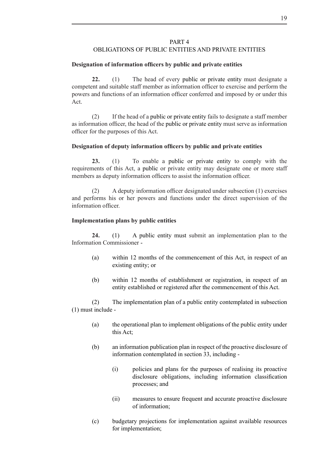## PART 4

## OBLIGATIONS OF PUBLIC ENTITIES AND PRIVATE ENTITIES

## **Designation of information officers by public and private entities**

**22.** (1) The head of every public or private entity must designate a competent and suitable staff member as information officer to exercise and perform the powers and functions of an information officer conferred and imposed by or under this Act.

 (2) If the head of a public or private entity fails to designate a staff member as information officer, the head of the public or private entity must serve as information officer for the purposes of this Act.

## **Designation of deputy information officers by public and private entities**

23. (1) To enable a public or private entity to comply with the requirements of this Act, a public or private entity may designate one or more staff members as deputy information officers to assist the information officer.

 (2) A deputy information officer designated under subsection (1) exercises and performs his or her powers and functions under the direct supervision of the information officer.

## **Implementation plans by public entities**

24. (1) A public entity must submit an implementation plan to the Information Commissioner -

- (a) within 12 months of the commencement of this Act, in respect of an existing entity; or
- (b) within 12 months of establishment or registration, in respect of an entity established or registered after the commencement of this Act.

 (2) The implementation plan of a public entity contemplated in subsection (1) must include -

- (a) the operational plan to implement obligations of the public entity under this Act;
- (b) an information publication plan in respect of the proactive disclosure of information contemplated in section 33, including -
	- (i) policies and plans for the purposes of realising its proactive disclosure obligations, including information classification processes; and
	- (ii) measures to ensure frequent and accurate proactive disclosure of information;
- (c) budgetary projections for implementation against available resources for implementation;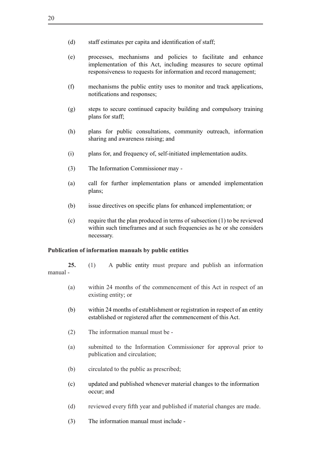- (d) staff estimates per capita and identification of staff;
- (e) processes, mechanisms and policies to facilitate and enhance implementation of this Act, including measures to secure optimal responsiveness to requests for information and record management;
- (f) mechanisms the public entity uses to monitor and track applications, notifications and responses;
- (g) steps to secure continued capacity building and compulsory training plans for staff;
- (h) plans for public consultations, community outreach, information sharing and awareness raising; and
- (i) plans for, and frequency of, self-initiated implementation audits.
- (3) The Information Commissioner may -
- (a) call for further implementation plans or amended implementation plans;
- (b) issue directives on specific plans for enhanced implementation; or
- (c) require that the plan produced in terms of subsection (1) to be reviewed within such timeframes and at such frequencies as he or she considers necessary.

#### **Publication of information manuals by public entities**

**25.** (1) A public entity must prepare and publish an information manual -

- (a) within 24 months of the commencement of this Act in respect of an existing entity; or
- (b) within 24 months of establishment or registration in respect of an entity established or registered after the commencement of this Act.
- (2) The information manual must be -
- (a) submitted to the Information Commissioner for approval prior to publication and circulation;
- (b) circulated to the public as prescribed;
- (c) updated and published whenever material changes to the information occur; and
- (d) reviewed every fifth year and published if material changes are made.
- (3) The information manual must include -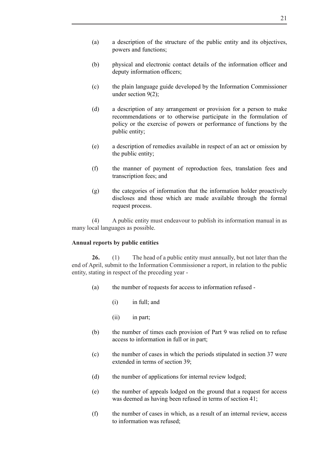- (a) a description of the structure of the public entity and its objectives, powers and functions;
- (b) physical and electronic contact details of the information officer and deputy information officers;
- (c) the plain language guide developed by the Information Commissioner under section 9(2);
- (d) a description of any arrangement or provision for a person to make recommendations or to otherwise participate in the formulation of policy or the exercise of powers or performance of functions by the public entity;
- (e) a description of remedies available in respect of an act or omission by the public entity;
- (f) the manner of payment of reproduction fees, translation fees and transcription fees; and
- (g) the categories of information that the information holder proactively discloses and those which are made available through the formal request process.

(4) A public entity must endeavour to publish its information manual in as many local languages as possible.

## **Annual reports by public entities**

**26.** (1) The head of a public entity must annually, but not later than the end of April, submit to the Information Commissioner a report, in relation to the public entity, stating in respect of the preceding year -

- (a) the number of requests for access to information refused
	- $(i)$  in full; and
	- (ii) in part;
- (b) the number of times each provision of Part 9 was relied on to refuse access to information in full or in part;
- (c) the number of cases in which the periods stipulated in section 37 were extended in terms of section 39;
- (d) the number of applications for internal review lodged;
- (e) the number of appeals lodged on the ground that a request for access was deemed as having been refused in terms of section 41;
- (f) the number of cases in which, as a result of an internal review, access to information was refused;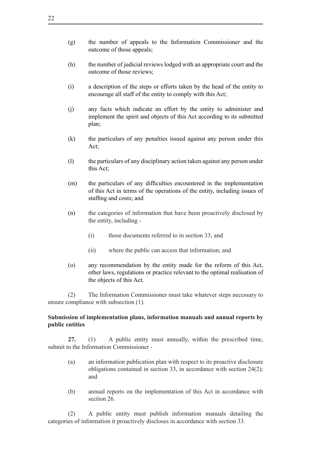- (g) the number of appeals to the Information Commissioner and the outcome of those appeals;
- (h) the number of judicial reviews lodged with an appropriate court and the outcome of those reviews;
- (i) a description of the steps or efforts taken by the head of the entity to encourage all staff of the entity to comply with this Act;
- (j) any facts which indicate an effort by the entity to administer and implement the spirit and objects of this Act according to its submitted plan;
- (k) the particulars of any penalties issued against any person under this Act;
- (l) the particulars of any disciplinary action taken against any person under this Act;
- (m) the particulars of any difficulties encountered in the implementation of this Act in terms of the operations of the entity, including issues of staffing and costs; and
- (n) the categories of information that have been proactively disclosed by the entity, including -
	- (i) those documents referred to in section 33; and
	- (ii) where the public can access that information; and
- (o) any recommendation by the entity made for the reform of this Act, other laws, regulations or practice relevant to the optimal realisation of the objects of this Act.

 (2) The Information Commissioner must take whatever steps necessary to ensure compliance with subsection (1).

## **Submission of implementation plans, information manuals and annual reports by public entities**

**27.** (1) A public entity must annually, within the prescribed time, submit to the Information Commissioner -

- (a) an information publication plan with respect to its proactive disclosure obligations contained in section 33, in accordance with section 24(2); and
- (b) annual reports on the implementation of this Act in accordance with section 26.

 (2) A public entity must publish information manuals detailing the categories of information it proactively discloses in accordance with section 33.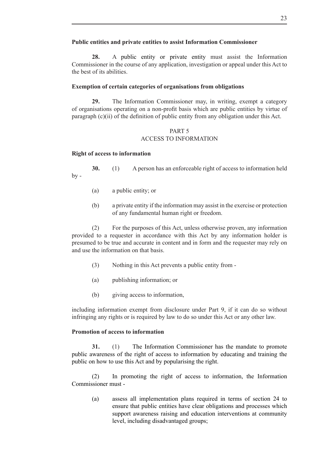## **Public entities and private entities to assist Information Commissioner**

**28.** A public entity or private entity must assist the Information Commissioner in the course of any application, investigation or appeal under this Act to the best of its abilities.

## **Exemption of certain categories of organisations from obligations**

**29.** The Information Commissioner may, in writing, exempt a category of organisations operating on a non-profit basis which are public entities by virtue of paragraph (c)(ii) of the definition of public entity from any obligation under this Act.

## PART 5 ACCESS TO INFORMATION

## **Right of access to information**

**30.** (1) A person has an enforceable right of access to information held  $by -$ 

- (a) a public entity; or
- (b) a private entity if the information may assist in the exercise or protection of any fundamental human right or freedom.

 (2) For the purposes of this Act, unless otherwise proven, any information provided to a requester in accordance with this Act by any information holder is presumed to be true and accurate in content and in form and the requester may rely on and use the information on that basis.

- (3) Nothing in this Act prevents a public entity from -
- (a) publishing information; or
- (b) giving access to information,

including information exempt from disclosure under Part 9, if it can do so without infringing any rights or is required by law to do so under this Act or any other law.

## **Promotion of access to information**

**31.** (1) The Information Commissioner has the mandate to promote public awareness of the right of access to information by educating and training the public on how to use this Act and by popularising the right.

 (2) In promoting the right of access to information, the Information Commissioner must -

(a) assess all implementation plans required in terms of section 24 to ensure that public entities have clear obligations and processes which support awareness raising and education interventions at community level, including disadvantaged groups;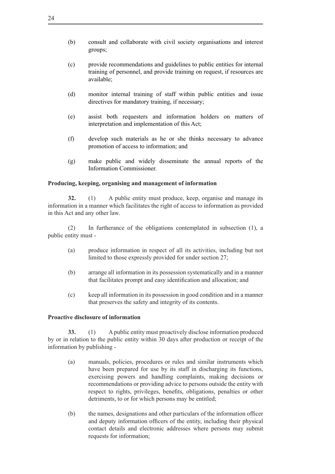- (b) consult and collaborate with civil society organisations and interest groups;
- (c) provide recommendations and guidelines to public entities for internal training of personnel, and provide training on request, if resources are available;
- (d) monitor internal training of staff within public entities and issue directives for mandatory training, if necessary;
- (e) assist both requesters and information holders on matters of interpretation and implementation of this Act;
- (f) develop such materials as he or she thinks necessary to advance promotion of access to information; and
- (g) make public and widely disseminate the annual reports of the Information Commissioner.

## **Producing, keeping, organising and management of information**

**32.** (1) A public entity must produce, keep, organise and manage its information in a manner which facilitates the right of access to information as provided in this Act and any other law.

(2) In furtherance of the obligations contemplated in subsection (1), a public entity must -

- (a) produce information in respect of all its activities, including but not limited to those expressly provided for under section 27;
- (b) arrange all information in its possession systematically and in a manner that facilitates prompt and easy identification and allocation; and
- (c) keep all information in its possession in good condition and in a manner that preserves the safety and integrity of its contents.

## **Proactive disclosure of information**

**33.** (1) A public entity must proactively disclose information produced by or in relation to the public entity within 30 days after production or receipt of the information by publishing -

- (a) manuals, policies, procedures or rules and similar instruments which have been prepared for use by its staff in discharging its functions, exercising powers and handling complaints, making decisions or recommendations or providing advice to persons outside the entity with respect to rights, privileges, benefits, obligations, penalties or other detriments, to or for which persons may be entitled;
- (b) the names, designations and other particulars of the information officer and deputy information officers of the entity, including their physical contact details and electronic addresses where persons may submit requests for information;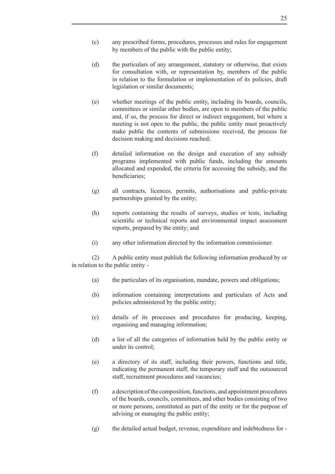- (c) any prescribed forms, procedures, processes and rules for engagement by members of the public with the public entity;
- (d) the particulars of any arrangement, statutory or otherwise, that exists for consultation with, or representation by, members of the public in relation to the formulation or implementation of its policies, draft legislation or similar documents;
- (e) whether meetings of the public entity, including its boards, councils, committees or similar other bodies, are open to members of the public and, if so, the process for direct or indirect engagement, but where a meeting is not open to the public, the public entity must proactively make public the contents of submissions received, the process for decision making and decisions reached;
- (f) detailed information on the design and execution of any subsidy programs implemented with public funds, including the amounts allocated and expended, the criteria for accessing the subsidy, and the beneficiaries;
- (g) all contracts, licences, permits, authorisations and public-private partnerships granted by the entity;
- (h) reports containing the results of surveys, studies or tests, including scientific or technical reports and environmental impact assessment reports, prepared by the entity; and
- (i) any other information directed by the information commissioner.

 (2) A public entity must publish the following information produced by or in relation to the public entity -

- (a) the particulars of its organisation, mandate, powers and obligations;
- (b) information containing interpretations and particulars of Acts and policies administered by the public entity;
- (c) details of its processes and procedures for producing, keeping, organising and managing information;
- (d) a list of all the categories of information held by the public entity or under its control;
- (e) a directory of its staff, including their powers, functions and title, indicating the permanent staff, the temporary staff and the outsourced staff, recruitment procedures and vacancies;
- $(f)$  a description of the composition, functions, and appointment procedures of the boards, councils, committees, and other bodies consisting of two or more persons, constituted as part of the entity or for the purpose of advising or managing the public entity;
- (g) the detailed actual budget, revenue, expenditure and indebtedness for -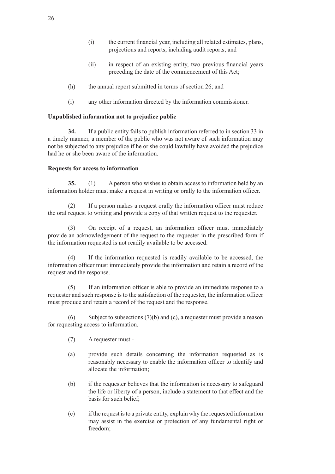- (i) the current financial year, including all related estimates, plans, projections and reports, including audit reports; and
- (ii) in respect of an existing entity, two previous financial years preceding the date of the commencement of this Act;
- (h) the annual report submitted in terms of section 26; and
- (i) any other information directed by the information commissioner.

## **Unpublished information not to prejudice public**

**34.** If a public entity fails to publish information referred to in section 33 in a timely manner, a member of the public who was not aware of such information may not be subjected to any prejudice if he or she could lawfully have avoided the prejudice had he or she been aware of the information.

#### **Requests for access to information**

**35.** (1) A person who wishes to obtain access to information held by an information holder must make a request in writing or orally to the information officer.

(2) If a person makes a request orally the information officer must reduce the oral request to writing and provide a copy of that written request to the requester.

(3) On receipt of a request, an information officer must immediately provide an acknowledgement of the request to the requester in the prescribed form if the information requested is not readily available to be accessed.

 (4) If the information requested is readily available to be accessed, the information officer must immediately provide the information and retain a record of the request and the response.

 (5) If an information officer is able to provide an immediate response to a requester and such response is to the satisfaction of the requester, the information officer must produce and retain a record of the request and the response.

(6) Subject to subsections  $(7)(b)$  and (c), a requester must provide a reason for requesting access to information.

- (7) A requester must -
- (a) provide such details concerning the information requested as is reasonably necessary to enable the information officer to identify and allocate the information;
- (b) if the requester believes that the information is necessary to safeguard the life or liberty of a person, include a statement to that effect and the basis for such belief;
- (c) ifthe request isto a private entity, explain why the requested information may assist in the exercise or protection of any fundamental right or freedom;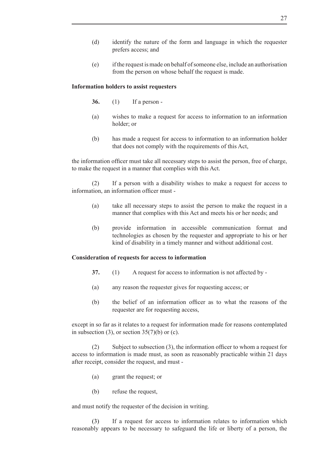- (d) identify the nature of the form and language in which the requester prefers access; and
- (e) ifthe request is made on behalf ofsomeone else, include an authorisation from the person on whose behalf the request is made.

#### **Information holders to assist requesters**

- **36.** (1) If a person -
- (a) wishes to make a request for access to information to an information holder; or
- (b) has made a request for access to information to an information holder that does not comply with the requirements of this Act,

the information officer must take all necessary steps to assist the person, free of charge, to make the request in a manner that complies with this Act.

 (2) If a person with a disability wishes to make a request for access to information, an information officer must -

- (a) take all necessary steps to assist the person to make the request in a manner that complies with this Act and meets his or her needs; and
- (b) provide information in accessible communication format and technologies as chosen by the requester and appropriate to his or her kind of disability in a timely manner and without additional cost.

#### **Consideration of requests for access to information**

- **37.** (1) A request for access to information is not affected by -
- (a) any reason the requester gives for requesting access; or
- (b) the belief of an information officer as to what the reasons of the requester are for requesting access,

except in so far as it relates to a request for information made for reasons contemplated in subsection (3), or section  $35(7)(b)$  or (c).

 (2) Subject to subsection (3), the information officer to whom a request for access to information is made must, as soon as reasonably practicable within 21 days after receipt, consider the request, and must -

- (a) grant the request; or
- (b) refuse the request.

and must notify the requester of the decision in writing.

 (3) If a request for access to information relates to information which reasonably appears to be necessary to safeguard the life or liberty of a person, the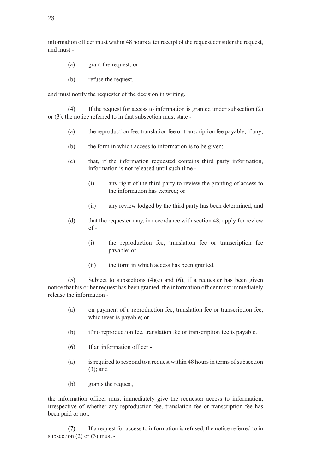information officer must within 48 hours after receipt of the request consider the request, and must -

- (a) grant the request; or
- (b) refuse the request,

and must notify the requester of the decision in writing.

(4) If the request for access to information is granted under subsection  $(2)$ or (3), the notice referred to in that subsection must state -

- (a) the reproduction fee, translation fee or transcription fee payable, if any;
- (b) the form in which access to information is to be given;
- (c) that, if the information requested contains third party information, information is not released until such time -
	- (i) any right of the third party to review the granting of access to the information has expired; or
	- (ii) any review lodged by the third party has been determined; and
- (d) that the requester may, in accordance with section 48, apply for review  $of -$ 
	- (i) the reproduction fee, translation fee or transcription fee payable; or
	- (ii) the form in which access has been granted.

(5) Subject to subsections  $(4)(c)$  and  $(6)$ , if a requester has been given notice that his or her request has been granted, the information officer must immediately release the information -

- (a) on payment of a reproduction fee, translation fee or transcription fee, whichever is payable; or
- (b) if no reproduction fee, translation fee or transcription fee is payable.
- (6) If an information officer -
- $(a)$  is required to respond to a request within 48 hours in terms of subsection (3); and
- (b) grants the request,

the information officer must immediately give the requester access to information, irrespective of whether any reproduction fee, translation fee or transcription fee has been paid or not.

 (7) If a request for access to information is refused, the notice referred to in subsection  $(2)$  or  $(3)$  must -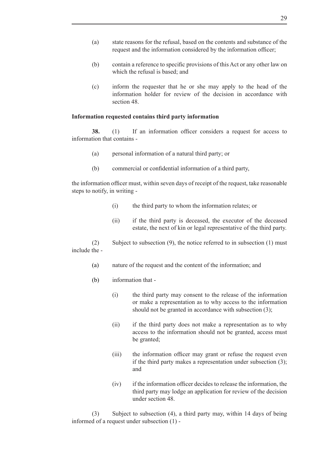- (a) state reasons for the refusal, based on the contents and substance of the request and the information considered by the information officer;
- (b) contain a reference to specific provisions of this Act or any other law on which the refusal is based; and
- (c) inform the requester that he or she may apply to the head of the information holder for review of the decision in accordance with section 48.

#### **Information requested contains third party information**

**38.** (1) If an information officer considers a request for access to information that contains -

- (a) personal information of a natural third party; or
- (b) commercial or confidential information of a third party,

the information officer must, within seven days of receipt of the request, take reasonable steps to notify, in writing -

- (i) the third party to whom the information relates; or
- (ii) if the third party is deceased, the executor of the deceased estate, the next of kin or legal representative of the third party.

(2) Subject to subsection  $(9)$ , the notice referred to in subsection  $(1)$  must include the -

- (a) nature of the request and the content of the information; and
- (b) information that
	- (i) the third party may consent to the release of the information or make a representation as to why access to the information should not be granted in accordance with subsection (3);
	- (ii) if the third party does not make a representation as to why access to the information should not be granted, access must be granted;
	- (iii) the information officer may grant or refuse the request even if the third party makes a representation under subsection (3); and
	- (iv) if the information officer decides to release the information, the third party may lodge an application for review of the decision under section 48.

 (3) Subject to subsection (4), a third party may, within 14 days of being informed of a request under subsection (1) -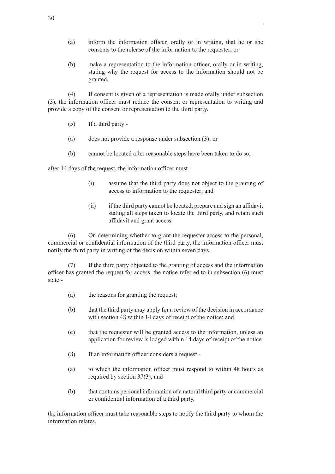- (a) inform the information officer, orally or in writing, that he or she consents to the release of the information to the requester; or
- (b) make a representation to the information officer, orally or in writing, stating why the request for access to the information should not be granted.

 (4) If consent is given or a representation is made orally under subsection (3), the information officer must reduce the consent or representation to writing and provide a copy of the consent or representation to the third party.

- $(5)$  If a third party -
- (a) does not provide a response under subsection (3); or
- (b) cannot be located after reasonable steps have been taken to do so,

after 14 days of the request, the information officer must -

- (i) assume that the third party does not object to the granting of access to information to the requester; and
- (ii) if the third party cannot be located, prepare and sign an affidavit stating all steps taken to locate the third party, and retain such affidavit and grant access.

 (6) On determining whether to grant the requester access to the personal, commercial or confidential information of the third party, the information officer must notify the third party in writing of the decision within seven days.

 (7) If the third party objected to the granting of access and the information officer has granted the request for access, the notice referred to in subsection (6) must state -

- (a) the reasons for granting the request;
- (b) that the third party may apply for a review of the decision in accordance with section 48 within 14 days of receipt of the notice; and
- (c) that the requester will be granted access to the information, unless an application for review is lodged within 14 days of receipt of the notice.
- $(8)$  If an information officer considers a request -
- (a) to which the information officer must respond to within 48 hours as required by section 37(3); and
- (b) that contains personal information of a natural third party or commercial or confidential information of a third party,

the information officer must take reasonable steps to notify the third party to whom the information relates.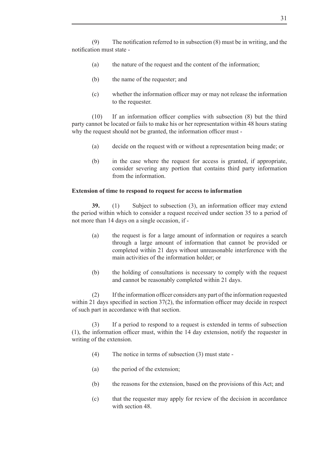(9) The notification referred to in subsection  $(8)$  must be in writing, and the notification must state -

- (a) the nature of the request and the content of the information;
- (b) the name of the requester; and
- (c) whether the information officer may or may not release the information to the requester.

 $(10)$  If an information officer complies with subsection  $(8)$  but the third party cannot be located or fails to make his or her representation within 48 hours stating why the request should not be granted, the information officer must -

- (a) decide on the request with or without a representation being made; or
- (b) in the case where the request for access is granted, if appropriate, consider severing any portion that contains third party information from the information.

## **Extension of time to respond to request for access to information**

**39.** (1) Subject to subsection (3), an information officer may extend the period within which to consider a request received under section 35 to a period of not more than 14 days on a single occasion, if -

- (a) the request is for a large amount of information or requires a search through a large amount of information that cannot be provided or completed within 21 days without unreasonable interference with the main activities of the information holder; or
- (b) the holding of consultations is necessary to comply with the request and cannot be reasonably completed within 21 days.

(2) If the information officer considers any part of the information requested within 21 days specified in section 37(2), the information officer may decide in respect of such part in accordance with that section.

 (3) If a period to respond to a request is extended in terms of subsection (1), the information officer must, within the 14 day extension, notify the requester in writing of the extension.

- (4) The notice in terms of subsection  $(3)$  must state -
- (a) the period of the extension;
- (b) the reasons for the extension, based on the provisions of this Act; and
- (c) that the requester may apply for review of the decision in accordance with section 48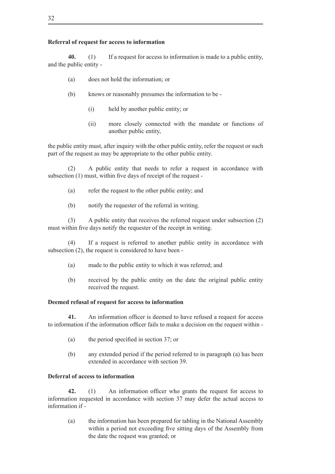## **Referral of request for access to information**

**40.** (1) If a request for access to information is made to a public entity, and the public entity -

- (a) does not hold the information; or
- (b) knows or reasonably presumes the information to be
	- (i) held by another public entity; or
	- (ii) more closely connected with the mandate or functions of another public entity,

the public entity must, after inquiry with the other public entity, refer the request or such part of the request as may be appropriate to the other public entity.

 (2) A public entity that needs to refer a request in accordance with subsection (1) must, within five days of receipt of the request -

- (a) refer the request to the other public entity; and
- (b) notify the requester of the referral in writing.

(3) A public entity that receives the referred request under subsection  $(2)$ must within five days notify the requester of the receipt in writing.

 (4) If a request is referred to another public entity in accordance with subsection (2), the request is considered to have been -

- (a) made to the public entity to which it was referred; and
- (b) received by the public entity on the date the original public entity received the request.

## **Deemed refusal of request for access to information**

**41.** An information officer is deemed to have refused a request for access to information if the information officer fails to make a decision on the request within -

- (a) the period specified in section 37; or
- (b) any extended period if the period referred to in paragraph (a) has been extended in accordance with section 39.

## **Deferral of access to information**

**42.** (1) An information officer who grants the request for access to information requested in accordance with section 37 may defer the actual access to information if -

(a) the information has been prepared for tabling in the National Assembly within a period not exceeding five sitting days of the Assembly from the date the request was granted; or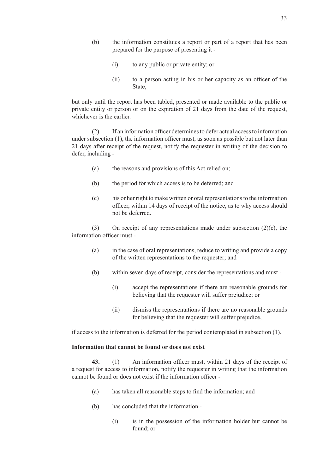- (b) the information constitutes a report or part of a report that has been prepared for the purpose of presenting it -
	- (i) to any public or private entity; or
	- (ii) to a person acting in his or her capacity as an officer of the **State**

but only until the report has been tabled, presented or made available to the public or private entity or person or on the expiration of 21 days from the date of the request, whichever is the earlier.

 (2) If an information officer determinesto defer actual accessto information under subsection (1), the information officer must, as soon as possible but not later than 21 days after receipt of the request, notify the requester in writing of the decision to defer, including -

- (a) the reasons and provisions of this Act relied on;
- (b) the period for which access is to be deferred; and
- (c) his or her right to make written or oral representationsto the information officer, within 14 days of receipt of the notice, as to why access should not be deferred.

(3) On receipt of any representations made under subsection  $(2)(c)$ , the information officer must -

- (a) in the case of oral representations, reduce to writing and provide a copy of the written representations to the requester; and
- (b) within seven days of receipt, consider the representations and must -
	- (i) accept the representations if there are reasonable grounds for believing that the requester will suffer prejudice; or
	- (ii) dismiss the representations if there are no reasonable grounds for believing that the requester will suffer prejudice,

if access to the information is deferred for the period contemplated in subsection (1).

## **Information that cannot be found or does not exist**

43. (1) An information officer must, within 21 days of the receipt of a request for access to information, notify the requester in writing that the information cannot be found or does not exist if the information officer -

- (a) has taken all reasonable steps to find the information; and
- (b) has concluded that the information
	- (i) is in the possession of the information holder but cannot be found; or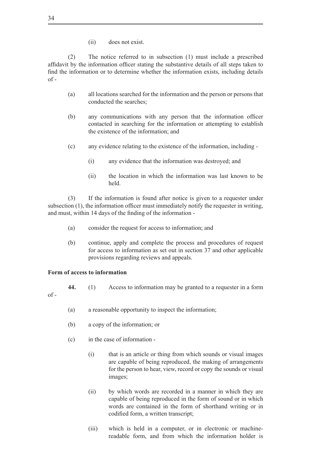(ii) does not exist.

(2) The notice referred to in subsection (1) must include a prescribed affidavit by the information officer stating the substantive details of all steps taken to find the information or to determine whether the information exists, including details  $of -$ 

- (a) all locations searched for the information and the person or persons that conducted the searches;
- (b) any communications with any person that the information officer contacted in searching for the information or attempting to establish the existence of the information; and
- (c) any evidence relating to the existence of the information, including
	- (i) any evidence that the information was destroyed; and
	- (ii) the location in which the information was last known to be held.

(3) If the information is found after notice is given to a requester under subsection (1), the information officer must immediately notify the requester in writing, and must, within 14 days of the finding of the information -

- (a) consider the request for access to information; and
- (b) continue, apply and complete the process and procedures of request for access to information as set out in section 37 and other applicable provisions regarding reviews and appeals.

#### **Form of access to information**

- 44. (1) Access to information may be granted to a requester in a form
- $\alpha f$  -
- (a) a reasonable opportunity to inspect the information;
- (b) a copy of the information; or
- (c) in the case of information
	- (i) that is an article or thing from which sounds or visual images are capable of being reproduced, the making of arrangements for the person to hear, view, record or copy the sounds or visual images;
	- (ii) by which words are recorded in a manner in which they are capable of being reproduced in the form of sound or in which words are contained in the form of shorthand writing or in codified form, a written transcript;
	- (iii) which is held in a computer, or in electronic or machinereadable form, and from which the information holder is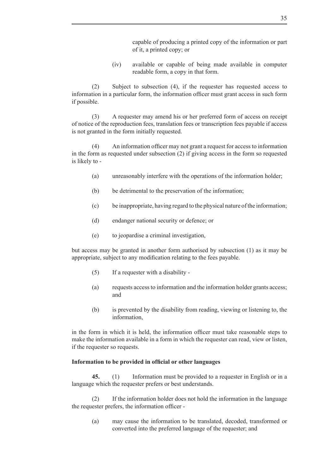capable of producing a printed copy of the information or part of it, a printed copy; or

(iv) available or capable of being made available in computer readable form, a copy in that form.

 (2) Subject to subsection (4), if the requester has requested access to information in a particular form, the information officer must grant access in such form if possible.

 (3) A requester may amend his or her preferred form of access on receipt of notice of the reproduction fees, translation fees or transcription fees payable if access is not granted in the form initially requested.

 (4) An information officer may not grant a request for accessto information in the form as requested under subsection (2) if giving access in the form so requested is likely to -

- (a) unreasonably interfere with the operations of the information holder;
- (b) be detrimental to the preservation of the information;
- (c) be inappropriate, having regard to the physical nature ofthe information;
- (d) endanger national security or defence; or
- (e) to jeopardise a criminal investigation,

but access may be granted in another form authorised by subsection (1) as it may be appropriate, subject to any modification relating to the fees payable.

- $(5)$  If a requester with a disability -
- (a) requests accessto information and the information holder grants access; and
- (b) is prevented by the disability from reading, viewing or listening to, the information,

in the form in which it is held, the information officer must take reasonable steps to make the information available in a form in which the requester can read, view or listen, if the requester so requests.

## **Information to be provided in official or other languages**

45. (1) Information must be provided to a requester in English or in a language which the requester prefers or best understands.

(2) If the information holder does not hold the information in the language the requester prefers, the information officer -

(a) may cause the information to be translated, decoded, transformed or converted into the preferred language of the requester; and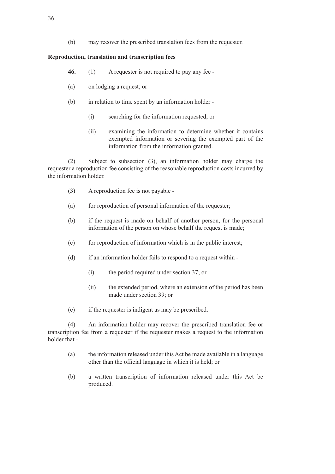(b) may recover the prescribed translation fees from the requester.

## **Reproduction, translation and transcription fees**

- **46.** (1) A requester is not required to pay any fee -
- (a) on lodging a request; or
- (b) in relation to time spent by an information holder -
	- (i) searching for the information requested; or
	- (ii) examining the information to determine whether it contains exempted information or severing the exempted part of the information from the information granted.

 (2) Subject to subsection (3), an information holder may charge the requester a reproduction fee consisting of the reasonable reproduction costs incurred by the information holder.

- (3) A reproduction fee is not payable -
- (a) for reproduction of personal information of the requester;
- (b) if the request is made on behalf of another person, for the personal information of the person on whose behalf the request is made;
- (c) for reproduction of information which is in the public interest;
- $(d)$  if an information holder fails to respond to a request within -
	- (i) the period required under section 37; or
	- (ii) the extended period, where an extension of the period has been made under section 39; or
- (e) if the requester is indigent as may be prescribed.

 (4) An information holder may recover the prescribed translation fee or transcription fee from a requester if the requester makes a request to the information holder that -

- (a) the information released under this Act be made available in a language other than the official language in which it is held; or
- (b) a written transcription of information released under this Act be produced.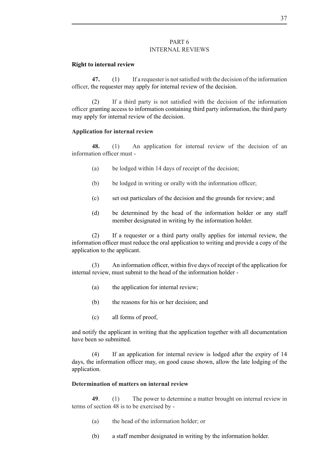#### PART 6 INTERNAL REVIEWS

#### **Right to internal review**

**47.** (1) If a requester is not satisfied with the decision of the information officer, the requester may apply for internal review of the decision.

 (2) If a third party is not satisfied with the decision of the information officer granting access to information containing third party information, the third party may apply for internal review of the decision.

#### **Application for internal review**

**48.** (1) An application for internal review of the decision of an information officer must -

- (a) be lodged within 14 days of receipt of the decision;
- (b) be lodged in writing or orally with the information officer;
- (c) set out particulars of the decision and the grounds for review; and
- (d) be determined by the head of the information holder or any staff member designated in writing by the information holder.

 (2) If a requester or a third party orally applies for internal review, the information officer must reduce the oral application to writing and provide a copy of the application to the applicant.

 (3) An information officer, within five days of receipt of the application for internal review, must submit to the head of the information holder -

- (a) the application for internal review;
- (b) the reasons for his or her decision; and
- (c) all forms of proof,

and notify the applicant in writing that the application together with all documentation have been so submitted.

 (4) If an application for internal review is lodged after the expiry of 14 days, the information officer may, on good cause shown, allow the late lodging of the application.

## **Determination of matters on internal review**

**49**. (1) The power to determine a matter brought on internal review in terms of section 48 is to be exercised by -

- (a) the head of the information holder; or
- (b) a staff member designated in writing by the information holder.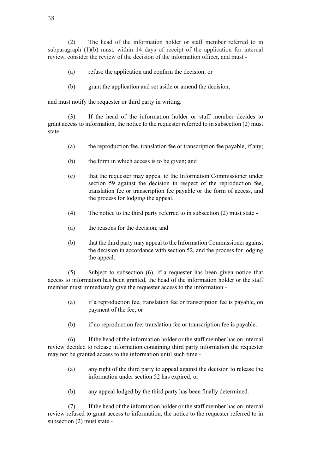(2) The head of the information holder or staff member referred to in subparagraph (1)(b) must, within 14 days of receipt of the application for internal review, consider the review of the decision of the information officer, and must -

- (a) refuse the application and confirm the decision; or
- (b) grant the application and set aside or amend the decision:

and must notify the requester or third party in writing.

(3) If the head of the information holder or staff member decides to grant access to information, the notice to the requester referred to in subsection (2) must state -

- (a) the reproduction fee, translation fee or transcription fee payable, if any;
- (b) the form in which access is to be given; and
- (c) that the requester may appeal to the Information Commissioner under section 59 against the decision in respect of the reproduction fee, translation fee or transcription fee payable or the form of access, and the process for lodging the appeal.
- (4) The notice to the third party referred to in subsection  $(2)$  must state -
- (a) the reasons for the decision; and
- (b) that the third party may appeal to the Information Commissioner against the decision in accordance with section 52, and the process for lodging the appeal.

 $(5)$  Subject to subsection  $(6)$ , if a requester has been given notice that access to information has been granted, the head of the information holder or the staff member must immediately give the requester access to the information -

- (a) if a reproduction fee, translation fee or transcription fee is payable, on payment of the fee; or
- (b) if no reproduction fee, translation fee or transcription fee is payable.

 (6) If the head of the information holder or the staff member has on internal review decided to release information containing third party information the requester may not be granted access to the information until such time -

- (a) any right of the third party to appeal against the decision to release the information under section 52 has expired; or
- (b) any appeal lodged by the third party has been finally determined.

 $(7)$  If the head of the information holder or the staff member has on internal review refused to grant access to information, the notice to the requester referred to in subsection (2) must state -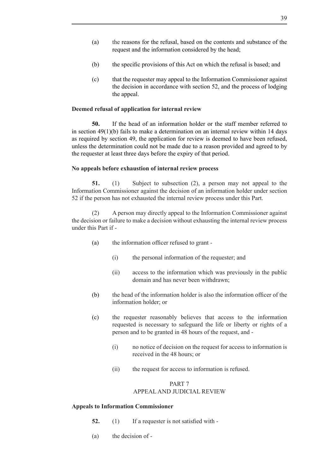- (a) the reasons for the refusal, based on the contents and substance of the request and the information considered by the head;
- (b) the specific provisions of this Act on which the refusal is based; and
- (c) that the requester may appeal to the Information Commissioner against the decision in accordance with section 52, and the process of lodging the appeal.

## **Deemed refusal of application for internal review**

**50.** If the head of an information holder or the staff member referred to in section  $49(1)(b)$  fails to make a determination on an internal review within 14 days as required by section 49, the application for review is deemed to have been refused, unless the determination could not be made due to a reason provided and agreed to by the requester at least three days before the expiry of that period.

#### **No appeals before exhaustion of internal review process**

**51.** (1) Subject to subsection (2), a person may not appeal to the Information Commissioner against the decision of an information holder under section 52 if the person has not exhausted the internal review process under this Part.

 (2) A person may directly appeal to the Information Commissioner against the decision or failure to make a decision without exhausting the internal review process under this Part if -

- (a) the information officer refused to grant
	- (i) the personal information of the requester; and
	- (ii) access to the information which was previously in the public domain and has never been withdrawn;
- (b) the head of the information holder is also the information officer of the information holder; or
- (c) the requester reasonably believes that access to the information requested is necessary to safeguard the life or liberty or rights of a person and to be granted in 48 hours of the request, and -
	- (i) no notice of decision on the request for access to information is received in the 48 hours; or
	- (ii) the request for access to information is refused.

## PART 7 APPEAL AND JUDICIAL REVIEW

#### **Appeals to Information Commissioner**

- **52.** (1) If a requester is not satisfied with -
- (a) the decision of -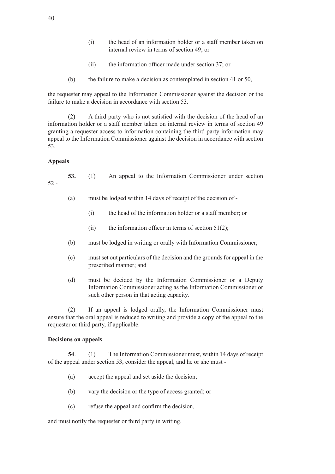- (i) the head of an information holder or a staff member taken on internal review in terms of section 49; or
- (ii) the information officer made under section 37; or
- (b) the failure to make a decision as contemplated in section 41 or 50,

the requester may appeal to the Information Commissioner against the decision or the failure to make a decision in accordance with section 53.

(2) A third party who is not satisfied with the decision of the head of an information holder or a staff member taken on internal review in terms of section 49 granting a requester access to information containing the third party information may appeal to the Information Commissioner against the decision in accordance with section 53.

## **Appeals**

**53.** (1) An appeal to the Information Commissioner under section 52 -

- (a) must be lodged within 14 days of receipt of the decision of  $-$ 
	- (i) the head of the information holder or a staff member; or
	- (ii) the information officer in terms of section  $51(2)$ ;
- (b) must be lodged in writing or orally with Information Commissioner;
- (c) must set out particulars of the decision and the grounds for appeal in the prescribed manner; and
- (d) must be decided by the Information Commissioner or a Deputy Information Commissioner acting as the Information Commissioner or such other person in that acting capacity.

(2) If an appeal is lodged orally, the Information Commissioner must ensure that the oral appeal is reduced to writing and provide a copy of the appeal to the requester or third party, if applicable.

#### **Decisions on appeals**

**54**. (1) The Information Commissioner must, within 14 days of receipt of the appeal under section 53, consider the appeal, and he or she must -

- (a) accept the appeal and set aside the decision;
- (b) vary the decision or the type of access granted; or
- (c) refuse the appeal and confirm the decision,

and must notify the requester or third party in writing.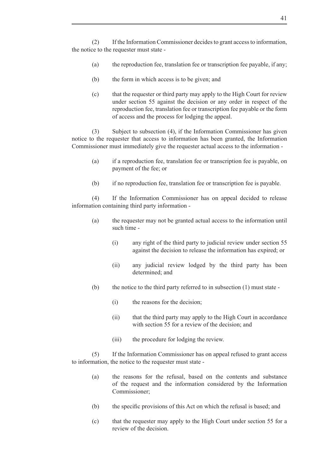(2) If the Information Commissioner decides to grant access to information, the notice to the requester must state -

- (a) the reproduction fee, translation fee or transcription fee payable, if any;
- (b) the form in which access is to be given; and
- (c) that the requester or third party may apply to the High Court for review under section 55 against the decision or any order in respect of the reproduction fee, translation fee or transcription fee payable or the form of access and the process for lodging the appeal.

(3) Subject to subsection (4), if the Information Commissioner has given notice to the requester that access to information has been granted, the Information Commissioner must immediately give the requester actual access to the information -

- (a) if a reproduction fee, translation fee or transcription fee is payable, on payment of the fee; or
- (b) if no reproduction fee, translation fee or transcription fee is payable.

 (4) If the Information Commissioner has on appeal decided to release information containing third party information -

- (a) the requester may not be granted actual access to the information until such time -
	- $(i)$  any right of the third party to judicial review under section 55 against the decision to release the information has expired; or
	- (ii) any judicial review lodged by the third party has been determined; and
- (b) the notice to the third party referred to in subsection  $(1)$  must state -
	- (i) the reasons for the decision;
	- (ii) that the third party may apply to the High Court in accordance with section 55 for a review of the decision; and
	- (iii) the procedure for lodging the review.

 (5) If the Information Commissioner has on appeal refused to grant access to information, the notice to the requester must state -

- (a) the reasons for the refusal, based on the contents and substance of the request and the information considered by the Information Commissioner;
- (b) the specific provisions of this Act on which the refusal is based; and
- (c) that the requester may apply to the High Court under section 55 for a review of the decision.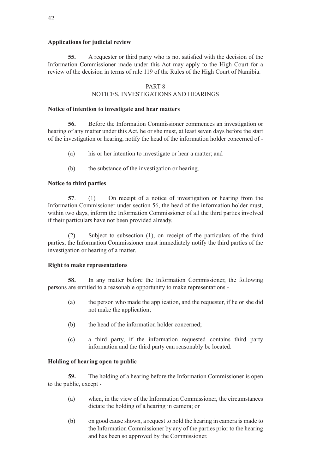## **Applications for judicial review**

**55.** A requester or third party who is not satisfied with the decision of the Information Commissioner made under this Act may apply to the High Court for a review of the decision in terms of rule 119 of the Rules of the High Court of Namibia.

#### PART 8

## NOTICES, INVESTIGATIONS AND HEARINGS

#### **Notice of intention to investigate and hear matters**

**56.** Before the Information Commissioner commences an investigation or hearing of any matter under this Act, he or she must, at least seven days before the start of the investigation or hearing, notify the head of the information holder concerned of -

- (a) his or her intention to investigate or hear a matter; and
- (b) the substance of the investigation or hearing.

#### **Notice to third parties**

**57**. (1) On receipt of a notice of investigation or hearing from the Information Commissioner under section 56, the head of the information holder must, within two days, inform the Information Commissioner of all the third parties involved if their particulars have not been provided already.

 (2) Subject to subsection (1), on receipt of the particulars of the third parties, the Information Commissioner must immediately notify the third parties of the investigation or hearing of a matter.

#### **Right to make representations**

**58.** In any matter before the Information Commissioner, the following persons are entitled to a reasonable opportunity to make representations -

- (a) the person who made the application, and the requester, if he or she did not make the application;
- (b) the head of the information holder concerned;
- (c) a third party, if the information requested contains third party information and the third party can reasonably be located.

#### **Holding of hearing open to public**

**59.** The holding of a hearing before the Information Commissioner is open to the public, except -

- (a) when, in the view of the Information Commissioner, the circumstances dictate the holding of a hearing in camera; or
- (b) on good cause shown, a request to hold the hearing in camera is made to the Information Commissioner by any of the parties prior to the hearing and has been so approved by the Commissioner.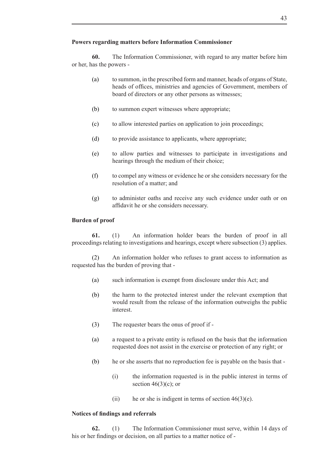**60.** The Information Commissioner, with regard to any matter before him or her, has the powers -

- (a) to summon, in the prescribed form and manner, heads of organs of State, heads of offices, ministries and agencies of Government, members of board of directors or any other persons as witnesses;
- (b) to summon expert witnesses where appropriate;
- (c) to allow interested parties on application to join proceedings;
- (d) to provide assistance to applicants, where appropriate;
- (e) to allow parties and witnesses to participate in investigations and hearings through the medium of their choice;
- $(f)$  to compel any witness or evidence he or she considers necessary for the resolution of a matter; and
- (g) to administer oaths and receive any such evidence under oath or on affidavit he or she considers necessary.

## **Burden of proof**

**61.** (1) An information holder bears the burden of proof in all proceedings relating to investigations and hearings, except where subsection (3) applies.

 (2) An information holder who refuses to grant access to information as requested has the burden of proving that -

- (a) such information is exempt from disclosure under this Act; and
- (b) the harm to the protected interest under the relevant exemption that would result from the release of the information outweighs the public interest.
- (3) The requester bears the onus of proof if -
- (a) a request to a private entity is refused on the basis that the information requested does not assist in the exercise or protection of any right; or
- (b) he or she asserts that no reproduction fee is payable on the basis that
	- (i) the information requested is in the public interest in terms of section  $46(3)(c)$ ; or
	- (ii) he or she is indigent in terms of section  $46(3)(e)$ .

#### **Notices of findings and referrals**

**62.** (1) The Information Commissioner must serve, within 14 days of his or her findings or decision, on all parties to a matter notice of -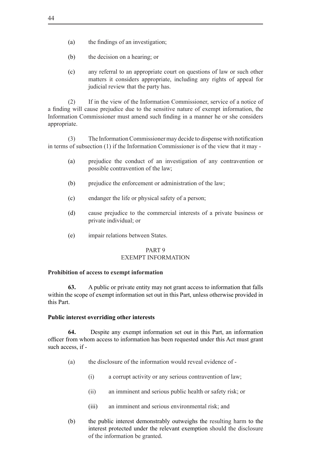- (a) the findings of an investigation;
- (b) the decision on a hearing; or
- (c) any referral to an appropriate court on questions of law or such other matters it considers appropriate, including any rights of appeal for judicial review that the party has.

(2) If in the view of the Information Commissioner, service of a notice of a finding will cause prejudice due to the sensitive nature of exempt information, the Information Commissioner must amend such finding in a manner he or she considers appropriate.

 (3) The InformationCommissionermay decide to dispense with notification in terms of subsection (1) if the Information Commissioner is of the view that it may -

- (a) prejudice the conduct of an investigation of any contravention or possible contravention of the law;
- (b) prejudice the enforcement or administration of the law;
- (c) endanger the life or physical safety of a person;
- (d) cause prejudice to the commercial interests of a private business or private individual; or
- (e) impair relations between States.

## PART 9 EXEMPT INFORMATION

#### **Prohibition of access to exempt information**

**63.** A public or private entity may not grant access to information that falls within the scope of exempt information set out in this Part, unless otherwise provided in this Part.

## **Public interest overriding other interests**

**64.** Despite any exempt information set out in this Part, an information officer from whom access to information has been requested under this Act must grant such access, if -

- (a) the disclosure of the information would reveal evidence of
	- (i) a corrupt activity or any serious contravention of law;
	- (ii) an imminent and serious public health or safety risk; or
	- (iii) an imminent and serious environmental risk; and
- (b) the public interest demonstrably outweighs the resulting harm to the interest protected under the relevant exemption should the disclosure of the information be granted.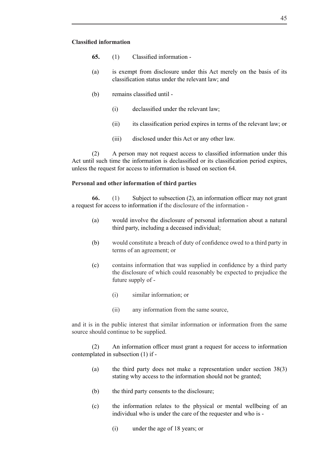- **65.** (1) Classified information -
- (a) is exempt from disclosure under this Act merely on the basis of its classification status under the relevant law; and
- (b) remains classified until
	- (i) declassified under the relevant law;
	- (ii) its classification period expires in terms of the relevant law; or
	- (iii) disclosed under this Act or any other law.

 (2) A person may not request access to classified information under this Act until such time the information is declassified or its classification period expires, unless the request for access to information is based on section 64.

#### **Personal and other information of third parties**

**66.** (1) Subject to subsection (2), an information officer may not grant a request for access to information if the disclosure of the information -

- (a) would involve the disclosure of personal information about a natural third party, including a deceased individual;
- (b) would constitute a breach of duty of confidence owed to a third party in terms of an agreement; or
- (c) contains information that was supplied in confidence by a third party the disclosure of which could reasonably be expected to prejudice the future supply of -
	- (i) similar information; or
	- (ii) any information from the same source,

and it is in the public interest that similar information or information from the same source should continue to be supplied.

 (2) An information officer must grant a request for access to information contemplated in subsection (1) if -

- (a) the third party does not make a representation under section  $38(3)$ stating why access to the information should not be granted;
- (b) the third party consents to the disclosure;
- (c) the information relates to the physical or mental wellbeing of an individual who is under the care of the requester and who is -
	- (i) under the age of 18 years; or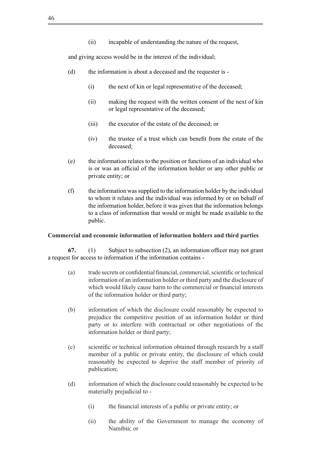(ii) incapable of understanding the nature of the request,

and giving access would be in the interest of the individual;

- (d) the information is about a deceased and the requester is -
	- $(i)$  the next of kin or legal representative of the deceased;
	- (ii) making the request with the written consent of the next of kin or legal representative of the deceased;
	- (iii) the executor of the estate of the deceased; or
	- (iv) the trustee of a trust which can benefit from the estate of the deceased;
- (e) the information relates to the position or functions of an individual who is or was an official of the information holder or any other public or private entity; or
- $(f)$  the information was supplied to the information holder by the individual to whom it relates and the individual was informed by or on behalf of the information holder, before it was given that the information belongs to a class of information that would or might be made available to the public.

## **Commercial and economic information of information holders and third parties**

**67.** (1) Subject to subsection (2), an information officer may not grant a request for access to information if the information contains -

- (a) trade secrets or confidential financial, commercial,scientific ortechnical information of an information holder or third party and the disclosure of which would likely cause harm to the commercial or financial interests of the information holder or third party;
- (b) information of which the disclosure could reasonably be expected to prejudice the competitive position of an information holder or third party or to interfere with contractual or other negotiations of the information holder or third party;
- (c) scientific or technical information obtained through research by a staff member of a public or private entity, the disclosure of which could reasonably be expected to deprive the staff member of priority of publication;
- (d) information of which the disclosure could reasonably be expected to be materially prejudicial to -
	- (i) the financial interests of a public or private entity; or
	- (ii) the ability of the Government to manage the economy of Namibia; or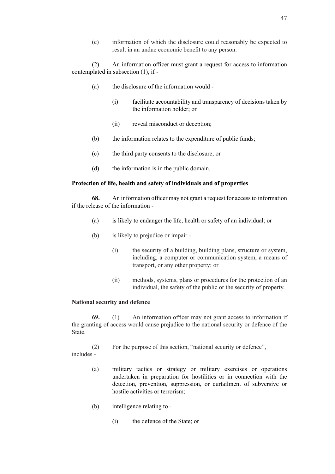(e) information of which the disclosure could reasonably be expected to result in an undue economic benefit to any person.

 (2) An information officer must grant a request for access to information contemplated in subsection (1), if -

- (a) the disclosure of the information would
	- (i) facilitate accountability and transparency of decisions taken by the information holder; or
	- (ii) reveal misconduct or deception;
- (b) the information relates to the expenditure of public funds;
- (c) the third party consents to the disclosure; or
- (d) the information is in the public domain.

## **Protection of life, health and safety of individuals and of properties**

**68.** An information officer may not grant a request for accessto information if the release of the information -

- (a) is likely to endanger the life, health or safety of an individual; or
- (b) is likely to prejudice or impair
	- (i) the security of a building, building plans, structure or system, including, a computer or communication system, a means of transport, or any other property; or
	- (ii) methods, systems, plans or procedures for the protection of an individual, the safety of the public or the security of property.

## **National security and defence**

**69.** (1) An information officer may not grant access to information if the granting of access would cause prejudice to the national security or defence of the **State** 

(2) For the purpose of this section, "national security or defence", includes -

- (a) military tactics or strategy or military exercises or operations undertaken in preparation for hostilities or in connection with the detection, prevention, suppression, or curtailment of subversive or hostile activities or terrorism;
- (b) intelligence relating to -
	- (i) the defence of the State; or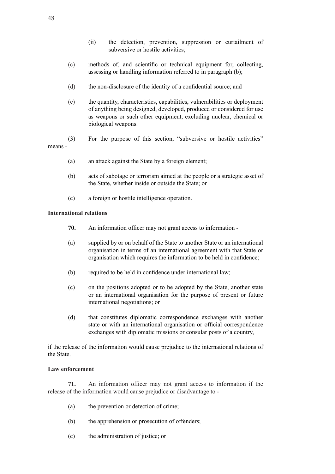- (ii) the detection, prevention, suppression or curtailment of subversive or hostile activities;
- (c) methods of, and scientific or technical equipment for, collecting, assessing or handling information referred to in paragraph (b);
- (d) the non-disclosure of the identity of a confidential source; and
- (e) the quantity, characteristics, capabilities, vulnerabilities or deployment of anything being designed, developed, produced or considered for use as weapons or such other equipment, excluding nuclear, chemical or biological weapons.
- (3) For the purpose of this section, "subversive or hostile activities"

means -

- (a) an attack against the State by a foreign element;
- (b) acts of sabotage or terrorism aimed at the people or a strategic asset of the State, whether inside or outside the State; or
- (c) a foreign or hostile intelligence operation.

## **International relations**

- **70.** An information officer may not grant access to information -
- (a) supplied by or on behalf of the State to another State or an international organisation in terms of an international agreement with that State or organisation which requires the information to be held in confidence;
- (b) required to be held in confidence under international law;
- (c) on the positions adopted or to be adopted by the State, another state or an international organisation for the purpose of present or future international negotiations; or
- (d) that constitutes diplomatic correspondence exchanges with another state or with an international organisation or official correspondence exchanges with diplomatic missions or consular posts of a country,

if the release of the information would cause prejudice to the international relations of the State.

## **Law enforcement**

**71.** An information officer may not grant access to information if the release of the information would cause prejudice or disadvantage to -

- (a) the prevention or detection of crime;
- (b) the apprehension or prosecution of offenders;
- (c) the administration of justice; or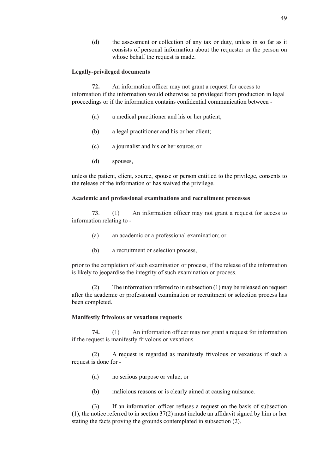(d) the assessment or collection of any tax or duty, unless in so far as it consists of personal information about the requester or the person on whose behalf the request is made.

## **Legally-privileged documents**

**72.** An information officer may not grant a request for access to information if the information would otherwise be privileged from production in legal proceedings or if the information contains confidential communication between -

- (a) a medical practitioner and his or her patient;
- (b) a legal practitioner and his or her client;
- (c) a journalist and his or her source; or
- (d) spouses,

unless the patient, client, source, spouse or person entitled to the privilege, consents to the release of the information or has waived the privilege.

#### **Academic and professional examinations and recruitment processes**

**73**. (1) An information officer may not grant a request for access to information relating to -

- (a) an academic or a professional examination; or
- (b) a recruitment or selection process,

prior to the completion of such examination or process, if the release of the information is likely to jeopardise the integrity of such examination or process.

(2) The information referred to in subsection  $(1)$  may be released on request after the academic or professional examination or recruitment or selection process has been completed.

## **Manifestly frivolous or vexatious requests**

**74.** (1) An information officer may not grant a request for information if the request is manifestly frivolous or vexatious.

 (2) A request is regarded as manifestly frivolous or vexatious if such a request is done for -

- (a) no serious purpose or value; or
- (b) malicious reasons or is clearly aimed at causing nuisance.

 (3) If an information officer refuses a request on the basis of subsection (1), the notice referred to in section 37(2) must include an affidavit signed by him or her stating the facts proving the grounds contemplated in subsection (2).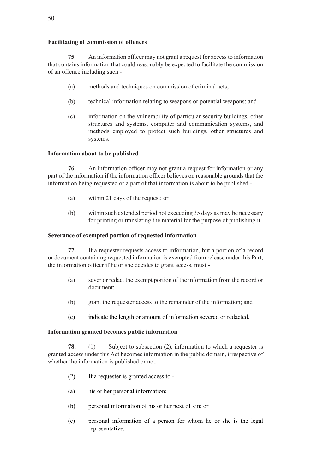## **Facilitating of commission of offences**

**75.** An information officer may not grant a request for access to information that contains information that could reasonably be expected to facilitate the commission of an offence including such -

- (a) methods and techniques on commission of criminal acts;
- (b) technical information relating to weapons or potential weapons; and
- (c) information on the vulnerability of particular security buildings, other structures and systems, computer and communication systems, and methods employed to protect such buildings, other structures and systems.

## **Information about to be published**

**76.** An information officer may not grant a request for information or any part of the information if the information officer believes on reasonable grounds that the information being requested or a part of that information is about to be published -

- (a) within 21 days of the request; or
- (b) within such extended period not exceeding 35 days as may be necessary for printing or translating the material for the purpose of publishing it.

#### **Severance of exempted portion of requested information**

**77.** If a requester requests access to information, but a portion of a record or document containing requested information is exempted from release under this Part, the information officer if he or she decides to grant access, must -

- (a) sever or redact the exempt portion of the information from the record or document;
- (b) grant the requester access to the remainder of the information; and
- (c) indicate the length or amount of information severed or redacted.

#### **Information granted becomes public information**

**78.** (1) Subject to subsection (2), information to which a requester is granted access under this Act becomes information in the public domain, irrespective of whether the information is published or not.

- $(2)$  If a requester is granted access to -
- (a) his or her personal information;
- (b) personal information of his or her next of kin; or
- (c) personal information of a person for whom he or she is the legal representative,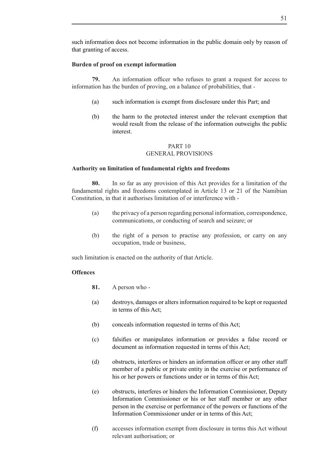such information does not become information in the public domain only by reason of that granting of access.

## **Burden of proof on exempt information**

**79.** An information officer who refuses to grant a request for access to information has the burden of proving, on a balance of probabilities, that -

- (a) such information is exempt from disclosure under this Part; and
- (b) the harm to the protected interest under the relevant exemption that would result from the release of the information outweighs the public interest.

## PART 10 GENERAL PROVISIONS

## **Authority on limitation of fundamental rights and freedoms**

**80.** In so far as any provision of this Act provides for a limitation of the fundamental rights and freedoms contemplated in Article 13 or 21 of the Namibian Constitution, in that it authorises limitation of or interference with -

- (a) the privacy of a person regarding personal information, correspondence, communications, or conducting of search and seizure; or
- (b) the right of a person to practise any profession, or carry on any occupation, trade or business,

such limitation is enacted on the authority of that Article.

## **Offences**

- **81.** A person who -
- (a) destroys, damages or alters information required to be kept or requested in terms of this Act;
- (b) conceals information requested in terms of this Act;
- (c) falsifies or manipulates information or provides a false record or document as information requested in terms of this Act;
- (d) obstructs, interferes or hinders an information officer or any other staff member of a public or private entity in the exercise or performance of his or her powers or functions under or in terms of this Act;
- (e) obstructs, interferes or hinders the Information Commissioner, Deputy Information Commissioner or his or her staff member or any other person in the exercise or performance of the powers or functions of the Information Commissioner under or in terms of this Act;
- (f) accesses information exempt from disclosure in terms this Act without relevant authorisation; or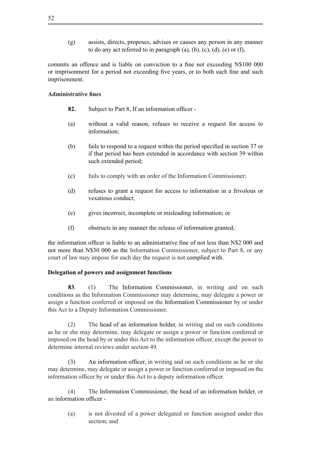(g) assists, directs, proposes, advises or causes any person in any manner to do any act referred to in paragraph  $(a)$ ,  $(b)$ ,  $(c)$ ,  $(d)$ ,  $(e)$  or  $(f)$ ,

commits an offence and is liable on conviction to a fine not exceeding N\$100 000 or imprisonment for a period not exceeding five years, or to both such fine and such imprisonment.

## **Administrative fines**

- **82.** Subject to Part 8, If an information officer -
- (a) without a valid reason, refuses to receive a request for access to information;
- (b) fails to respond to a request within the period specified in section 37 or if that period has been extended in accordance with section 39 within such extended period;
- (c) fails to comply with an order of the Information Commissioner;
- (d) refuses to grant a request for access to information in a frivolous or vexatious conduct;
- (e) gives incorrect, incomplete or misleading information; or
- (f) obstructs in any manner the release of information granted,

the information officer is liable to an administrative fine of not less than N\$2 000 and not more than N\$30 000 as the Information Commissioner, subject to Part 8, or any court of law may impose for each day the request is not complied with.

## **Delegation of powers and assignment functions**

**83**. (1) The Information Commissioner, in writing and on such conditions as the Information Commissioner may determine, may delegate a power or assign a function conferred or imposed on the Information Commissioner by or under this Act to a Deputy Information Commissioner.

 $(2)$  The head of an information holder, in writing and on such conditions as he or she may determine, may delegate or assign a power or function conferred or imposed on the head by or under this Act to the information officer, except the power to determine internal reviews under section 49.

(3) An information officer, in writing and on such conditions as he or she may determine, may delegate or assign a power or function conferred or imposed on the information officer by or under this Act to a deputy information officer.

 (4) The Information Commissioner, the head of an information holder, or an information officer -

(a) is not divested of a power delegated or function assigned under this section; and